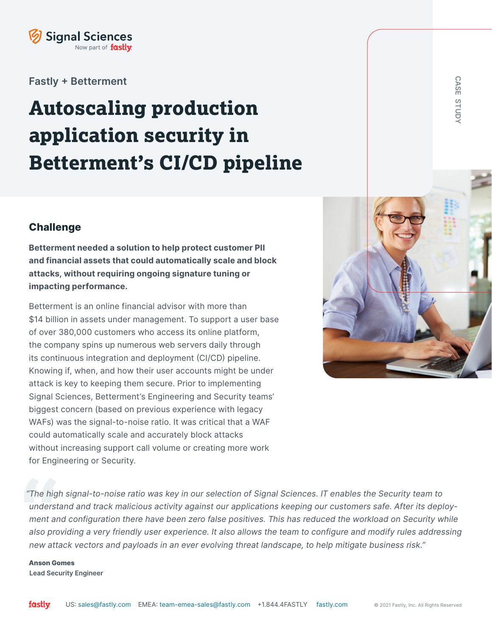

**Fastly + Betterment**

# **Autoscaling production application security in Betterment's CI/CD pipeline**

# **Challenge**

**Betterment needed a solution to help protect customer PII and financial assets that could automatically scale and block attacks, without requiring ongoing signature tuning or impacting performance.**

Betterment is an online financial advisor with more than \$14 billion in assets under management. To support a user base of over 380,000 customers who access its online platform, the company spins up numerous web servers daily through its continuous integration and deployment (CI/CD) pipeline. Knowing if, when, and how their user accounts might be under attack is key to keeping them secure. Prior to implementing Signal Sciences, Betterment's Engineering and Security teams' biggest concern (based on previous experience with legacy WAFs) was the signal-to-noise ratio. It was critical that a WAF could automatically scale and accurately block attacks without increasing support call volume or creating more work for Engineering or Security.



*"The high signal-to-noise ratio was key in our selection of Signal Sciences. IT enables the Security team to understand and track malicious activity against our applications keeping our customers safe. After its deployment and configuration there have been zero false positives. This has reduced the workload on Security while also providing a very friendly user experience. It also allows the team to configure and modify rules addressing new attack vectors and payloads in an ever evolving threat landscape, to help mitigate business risk."*

**Anson Gomes Lead Security Engineer**